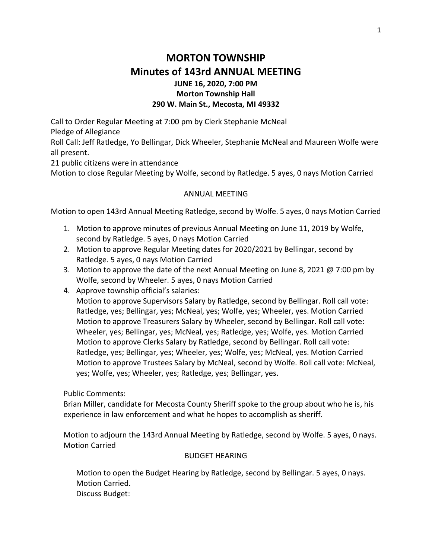# **MORTON TOWNSHIP Minutes of 143rd ANNUAL MEETING JUNE 16, 2020, 7:00 PM Morton Township Hall 290 W. Main St., Mecosta, MI 49332**

Call to Order Regular Meeting at 7:00 pm by Clerk Stephanie McNeal

Pledge of Allegiance

Roll Call: Jeff Ratledge, Yo Bellingar, Dick Wheeler, Stephanie McNeal and Maureen Wolfe were all present.

21 public citizens were in attendance

Motion to close Regular Meeting by Wolfe, second by Ratledge. 5 ayes, 0 nays Motion Carried

#### ANNUAL MEETING

Motion to open 143rd Annual Meeting Ratledge, second by Wolfe. 5 ayes, 0 nays Motion Carried

- 1. Motion to approve minutes of previous Annual Meeting on June 11, 2019 by Wolfe, second by Ratledge. 5 ayes, 0 nays Motion Carried
- 2. Motion to approve Regular Meeting dates for 2020/2021 by Bellingar, second by Ratledge. 5 ayes, 0 nays Motion Carried
- 3. Motion to approve the date of the next Annual Meeting on June 8, 2021 @ 7:00 pm by Wolfe, second by Wheeler. 5 ayes, 0 nays Motion Carried
- 4. Approve township official's salaries:

Motion to approve Supervisors Salary by Ratledge, second by Bellingar. Roll call vote: Ratledge, yes; Bellingar, yes; McNeal, yes; Wolfe, yes; Wheeler, yes. Motion Carried Motion to approve Treasurers Salary by Wheeler, second by Bellingar. Roll call vote: Wheeler, yes; Bellingar, yes; McNeal, yes; Ratledge, yes; Wolfe, yes. Motion Carried Motion to approve Clerks Salary by Ratledge, second by Bellingar. Roll call vote: Ratledge, yes; Bellingar, yes; Wheeler, yes; Wolfe, yes; McNeal, yes. Motion Carried Motion to approve Trustees Salary by McNeal, second by Wolfe. Roll call vote: McNeal, yes; Wolfe, yes; Wheeler, yes; Ratledge, yes; Bellingar, yes.

Public Comments:

Brian Miller, candidate for Mecosta County Sheriff spoke to the group about who he is, his experience in law enforcement and what he hopes to accomplish as sheriff.

Motion to adjourn the 143rd Annual Meeting by Ratledge, second by Wolfe. 5 ayes, 0 nays. Motion Carried

#### BUDGET HEARING

Motion to open the Budget Hearing by Ratledge, second by Bellingar. 5 ayes, 0 nays. Motion Carried. Discuss Budget: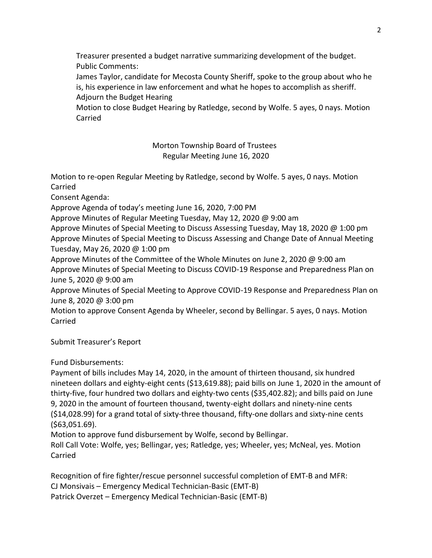Treasurer presented a budget narrative summarizing development of the budget. Public Comments:

James Taylor, candidate for Mecosta County Sheriff, spoke to the group about who he is, his experience in law enforcement and what he hopes to accomplish as sheriff. Adjourn the Budget Hearing

Motion to close Budget Hearing by Ratledge, second by Wolfe. 5 ayes, 0 nays. Motion Carried

> Morton Township Board of Trustees Regular Meeting June 16, 2020

Motion to re-open Regular Meeting by Ratledge, second by Wolfe. 5 ayes, 0 nays. Motion Carried

Consent Agenda:

Approve Agenda of today's meeting June 16, 2020, 7:00 PM

Approve Minutes of Regular Meeting Tuesday, May 12, 2020 @ 9:00 am

Approve Minutes of Special Meeting to Discuss Assessing Tuesday, May 18, 2020 @ 1:00 pm Approve Minutes of Special Meeting to Discuss Assessing and Change Date of Annual Meeting Tuesday, May 26, 2020 @ 1:00 pm

Approve Minutes of the Committee of the Whole Minutes on June 2, 2020 @ 9:00 am Approve Minutes of Special Meeting to Discuss COVID-19 Response and Preparedness Plan on June 5, 2020 @ 9:00 am

Approve Minutes of Special Meeting to Approve COVID-19 Response and Preparedness Plan on June 8, 2020 @ 3:00 pm

Motion to approve Consent Agenda by Wheeler, second by Bellingar. 5 ayes, 0 nays. Motion Carried

Submit Treasurer's Report

Fund Disbursements:

Payment of bills includes May 14, 2020, in the amount of thirteen thousand, six hundred nineteen dollars and eighty-eight cents (\$13,619.88); paid bills on June 1, 2020 in the amount of thirty-five, four hundred two dollars and eighty-two cents (\$35,402.82); and bills paid on June 9, 2020 in the amount of fourteen thousand, twenty-eight dollars and ninety-nine cents (\$14,028.99) for a grand total of sixty-three thousand, fifty-one dollars and sixty-nine cents (\$63,051.69).

Motion to approve fund disbursement by Wolfe, second by Bellingar.

Roll Call Vote: Wolfe, yes; Bellingar, yes; Ratledge, yes; Wheeler, yes; McNeal, yes. Motion Carried

Recognition of fire fighter/rescue personnel successful completion of EMT-B and MFR: CJ Monsivais – Emergency Medical Technician-Basic (EMT-B) Patrick Overzet – Emergency Medical Technician-Basic (EMT-B)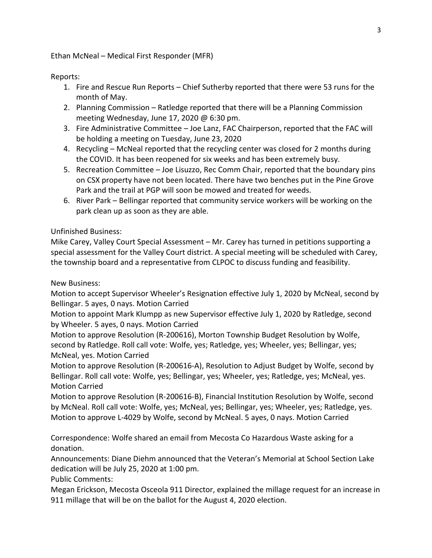Ethan McNeal – Medical First Responder (MFR)

Reports:

- 1. Fire and Rescue Run Reports Chief Sutherby reported that there were 53 runs for the month of May.
- 2. Planning Commission Ratledge reported that there will be a Planning Commission meeting Wednesday, June 17, 2020 @ 6:30 pm.
- 3. Fire Administrative Committee Joe Lanz, FAC Chairperson, reported that the FAC will be holding a meeting on Tuesday, June 23, 2020
- 4. Recycling McNeal reported that the recycling center was closed for 2 months during the COVID. It has been reopened for six weeks and has been extremely busy.
- 5. Recreation Committee Joe Lisuzzo, Rec Comm Chair, reported that the boundary pins on CSX property have not been located. There have two benches put in the Pine Grove Park and the trail at PGP will soon be mowed and treated for weeds.
- 6. River Park Bellingar reported that community service workers will be working on the park clean up as soon as they are able.

### Unfinished Business:

Mike Carey, Valley Court Special Assessment – Mr. Carey has turned in petitions supporting a special assessment for the Valley Court district. A special meeting will be scheduled with Carey, the township board and a representative from CLPOC to discuss funding and feasibility.

## New Business:

Motion to accept Supervisor Wheeler's Resignation effective July 1, 2020 by McNeal, second by Bellingar. 5 ayes, 0 nays. Motion Carried

Motion to appoint Mark Klumpp as new Supervisor effective July 1, 2020 by Ratledge, second by Wheeler. 5 ayes, 0 nays. Motion Carried

Motion to approve Resolution (R-200616), Morton Township Budget Resolution by Wolfe, second by Ratledge. Roll call vote: Wolfe, yes; Ratledge, yes; Wheeler, yes; Bellingar, yes; McNeal, yes. Motion Carried

Motion to approve Resolution (R-200616-A), Resolution to Adjust Budget by Wolfe, second by Bellingar. Roll call vote: Wolfe, yes; Bellingar, yes; Wheeler, yes; Ratledge, yes; McNeal, yes. Motion Carried

Motion to approve Resolution (R-200616-B), Financial Institution Resolution by Wolfe, second by McNeal. Roll call vote: Wolfe, yes; McNeal, yes; Bellingar, yes; Wheeler, yes; Ratledge, yes. Motion to approve L-4029 by Wolfe, second by McNeal. 5 ayes, 0 nays. Motion Carried

Correspondence: Wolfe shared an email from Mecosta Co Hazardous Waste asking for a donation.

Announcements: Diane Diehm announced that the Veteran's Memorial at School Section Lake dedication will be July 25, 2020 at 1:00 pm.

Public Comments:

Megan Erickson, Mecosta Osceola 911 Director, explained the millage request for an increase in 911 millage that will be on the ballot for the August 4, 2020 election.